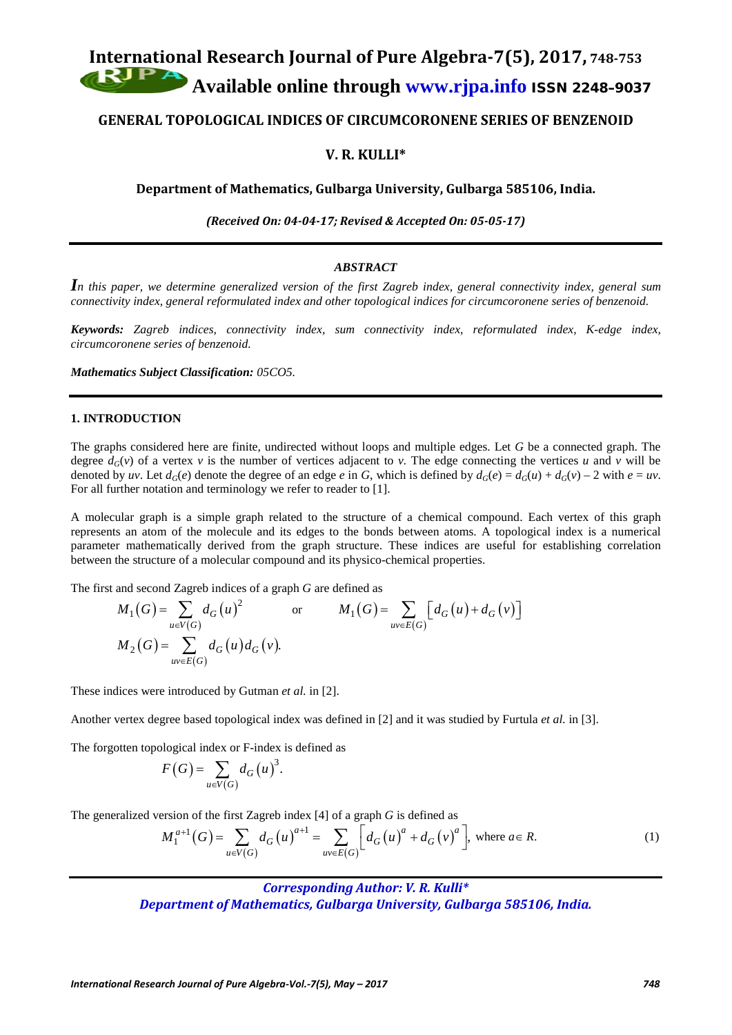# **International Research Journal of Pure Algebra-7(5), 2017, 748-753 Available online through [www.rjpa.info](http://www.rjpa.info/)** ISSN 2248–9037

# **GENERAL TOPOLOGICAL INDICES OF CIRCUMCORONENE SERIES OF BENZENOID**

# **V. R. KULLI\***

**Department of Mathematics, Gulbarga University, Gulbarga 585106, India.**

*(Received On: 04-04-17; Revised & Accepted On: 05-05-17)*

## *ABSTRACT*

*In this paper, we determine generalized version of the first Zagreb index, general connectivity index, general sum connectivity index, general reformulated index and other topological indices for circumcoronene series of benzenoid.*

*Keywords: Zagreb indices, connectivity index, sum connectivity index, reformulated index, K-edge index, circumcoronene series of benzenoid.*

*Mathematics Subject Classification: 05CO5.*

# **1. INTRODUCTION**

The graphs considered here are finite, undirected without loops and multiple edges. Let *G* be a connected graph. The degree  $d_G(v)$  of a vertex v is the number of vertices adjacent to v. The edge connecting the vertices u and v will be denoted by *uv*. Let  $d_G(e)$  denote the degree of an edge *e* in *G*, which is defined by  $d_G(e) = d_G(u) + d_G(v) - 2$  with  $e = uv$ . For all further notation and terminology we refer to reader to [1].

A molecular graph is a simple graph related to the structure of a chemical compound. Each vertex of this graph represents an atom of the molecule and its edges to the bonds between atoms. A topological index is a numerical parameter mathematically derived from the graph structure. These indices are useful for establishing correlation between the structure of a molecular compound and its physico-chemical properties.

The first and second Zagreb indices of a graph *G* are defined as

$$
M_1(G) = \sum_{u \in V(G)} d_G(u)^2 \qquad \text{or} \qquad M_1(G) = \sum_{uv \in E(G)} [d_G(u) + d_G(v)]
$$
  

$$
M_2(G) = \sum_{uv \in E(G)} d_G(u) d_G(v).
$$

These indices were introduced by Gutman *et al.* in [2].

Another vertex degree based topological index was defined in [2] and it was studied by Furtula *et al.* in [3].

The forgotten topological index or F-index is defined as

$$
F(G) = \sum_{u \in V(G)} d_G(u)^3.
$$

The generalized version of the first Zagreb index [4] of a graph *G* is defined as

$$
M_1^{a+1}(G) = \sum_{u \in V(G)} d_G(u)^{a+1} = \sum_{uv \in E(G)} \left[ d_G(u)^a + d_G(v)^a \right], \text{ where } a \in R.
$$
 (1)

*Corresponding Author: V. R. Kulli\* Department of Mathematics, Gulbarga University, Gulbarga 585106, India.*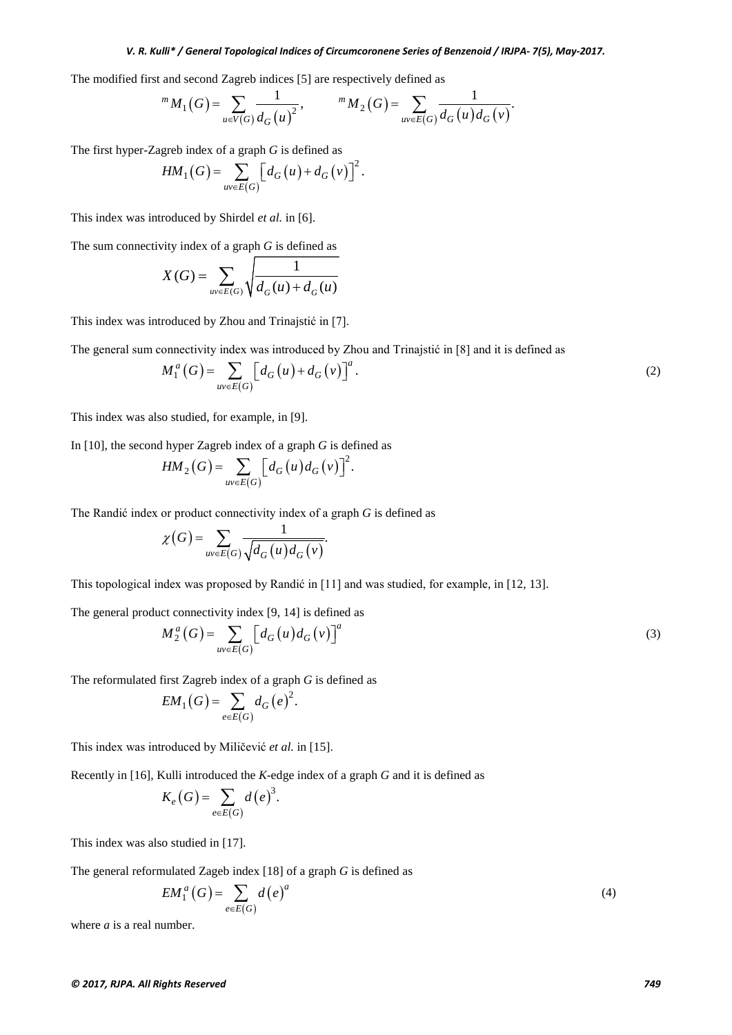#### *V. R. Kulli\* / General Topological Indices of Circumcoronene Series of Benzenoid / IRJPA- 7(5), May-2017.*

The modified first and second Zagreb indices [5] are respectively defined as

$$
{}^{m} M_{1}(G) = \sum_{u \in V(G)} \frac{1}{d_{G}(u)^{2}}, \qquad {}^{m} M_{2}(G) = \sum_{uv \in E(G)} \frac{1}{d_{G}(u) d_{G}(v)}.
$$

The first hyper-Zagreb index of a graph *G* is defined as

$$
HM_1(G) = \sum_{uv \in E(G)} \left[ d_G(u) + d_G(v) \right]^2.
$$

This index was introduced by Shirdel *et al.* in [6].

The sum connectivity index of a graph *G* is defined as

$$
X(G) = \sum_{uv \in E(G)} \sqrt{\frac{1}{d_G(u) + d_G(u)}}
$$

This index was introduced by Zhou and Trinajstić in [7].

The general sum connectivity index was introduced by Zhou and Trinajstić in [8] and it is defined as

$$
M_1^a(G) = \sum_{uv \in E(G)} \left[ d_G(u) + d_G(v) \right]^a.
$$
 (2)

This index was also studied, for example, in [9].

In [10], the second hyper Zagreb index of a graph *G* is defined as

$$
HM_2(G) = \sum_{uv \in E(G)} \left[ d_G(u) d_G(v) \right]^2.
$$

The Randić index or product connectivity index of a graph *G* is defined as

$$
\chi(G) = \sum_{uv \in E(G)} \frac{1}{\sqrt{d_G(u) d_G(v)}}.
$$

This topological index was proposed by Randić in [11] and was studied, for example, in [12, 13].

The general product connectivity index [9, 14] is defined as

$$
M_2^a(G) = \sum_{uv \in E(G)} \left[ d_G(u) d_G(v) \right]^a \tag{3}
$$

The reformulated first Zagreb index of a graph *G* is defined as

$$
EM_{1}(G) = \sum_{e \in E(G)} d_{G}(e)^{2}.
$$

This index was introduced by Miličević *et al.* in [15].

Recently in [16], Kulli introduced the *K*-edge index of a graph *G* and it is defined as

$$
K_e(G) = \sum_{e \in E(G)} d(e)^3.
$$

This index was also studied in [17].

The general reformulated Zageb index [18] of a graph *G* is defined as

$$
EM_1^a(G) = \sum_{e \in E(G)} d(e)^a
$$
\n(4)

where *a* is a real number.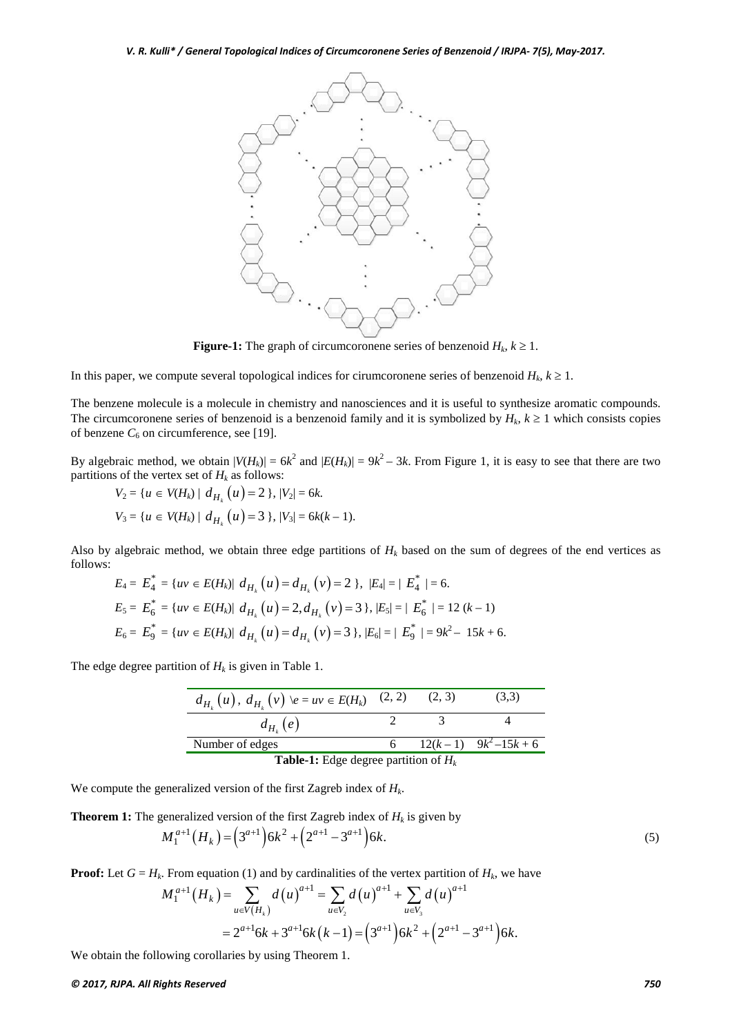

**Figure-1:** The graph of circumcoronene series of benzenoid  $H_k$ ,  $k \geq 1$ .

In this paper, we compute several topological indices for cirumcoronene series of benzenoid  $H_k$ ,  $k \geq 1$ .

The benzene molecule is a molecule in chemistry and nanosciences and it is useful to synthesize aromatic compounds. The circumcoronene series of benzenoid is a benzenoid family and it is symbolized by  $H_k$ ,  $k \ge 1$  which consists copies of benzene  $C_6$  on circumference, see [19].

By algebraic method, we obtain  $|V(H_k)| = 6k^2$  and  $|E(H_k)| = 9k^2 - 3k$ . From Figure 1, it is easy to see that there are two partitions of the vertex set of  $H_k$  as follows:

$$
V_2 = \{u \in V(H_k) \mid d_{H_k}(u) = 2\}, |V_2| = 6k.
$$
  

$$
V_3 = \{u \in V(H_k) \mid d_{H_k}(u) = 3\}, |V_3| = 6k(k - 1).
$$

Also by algebraic method, we obtain three edge partitions of  $H_k$  based on the sum of degrees of the end vertices as follows:

$$
E_4 = E_4^* = \{ uv \in E(H_k) | d_{H_k}(u) = d_{H_k}(v) = 2 \}, |E_4| = | E_4^* | = 6.
$$
  
\n
$$
E_5 = E_6^* = \{ uv \in E(H_k) | d_{H_k}(u) = 2, d_{H_k}(v) = 3 \}, |E_5| = | E_6^* | = 12 (k - 1)
$$
  
\n
$$
E_6 = E_9^* = \{ uv \in E(H_k) | d_{H_k}(u) = d_{H_k}(v) = 3 \}, |E_6| = | E_9^* | = 9k^2 - 15k + 6.
$$

The edge degree partition of  $H_k$  is given in Table 1.

| $d_{H_k}(u)$ , $d_{H_k}(v)$ $\downarrow e = uv \in E(H_k)$ (2, 2) (2, 3) |  |  | (3,3)                    |
|--------------------------------------------------------------------------|--|--|--------------------------|
| $d_{H_k}(e)$                                                             |  |  |                          |
| Number of edges                                                          |  |  | 6 $12(k-1)$ $9k^2-15k+6$ |
| <b>Table-1:</b> Edge degree partition of $H_k$                           |  |  |                          |

We compute the generalized version of the first Zagreb index of *Hk*.

**Theorem 1:** The generalized version of the first Zagreb index of  $H_k$  is given by

$$
M_1^{a+1}(H_k) = \left(3^{a+1}\right)6k^2 + \left(2^{a+1} - 3^{a+1}\right)6k. \tag{5}
$$

**Proof:** Let  $G = H_k$ . From equation (1) and by cardinalities of the vertex partition of  $H_k$ , we have

$$
M_1^{a+1}(H_k) = \sum_{u \in V(H_k)} d(u)^{a+1} = \sum_{u \in V_2} d(u)^{a+1} + \sum_{u \in V_3} d(u)^{a+1}
$$
  
=  $2^{a+1}6k + 3^{a+1}6k(k-1) = (3^{a+1})6k^2 + (2^{a+1} - 3^{a+1})6k.$ 

We obtain the following corollaries by using Theorem 1.

#### *© 2017, RJPA. All Rights Reserved 750*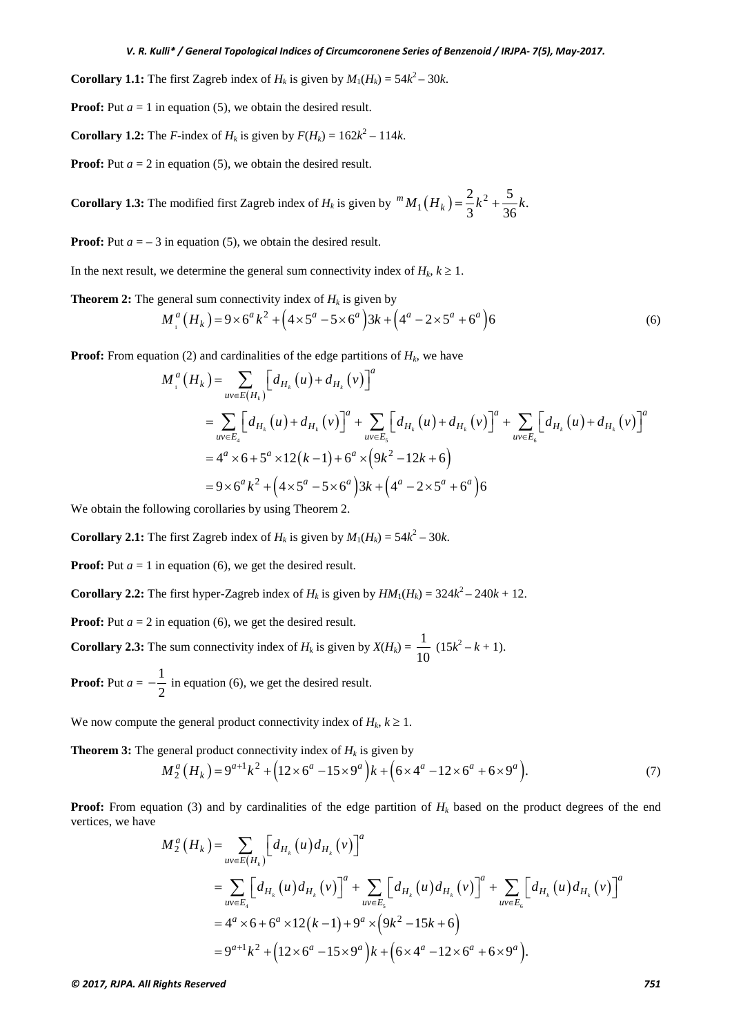**Corollary 1.1:** The first Zagreb index of  $H_k$  is given by  $M_1(H_k) = 54k^2 - 30k$ .

**Proof:** Put  $a = 1$  in equation (5), we obtain the desired result.

**Corollary 1.2:** The *F*-index of  $H_k$  is given by  $F(H_k) = 162k^2 - 114k$ .

**Proof:** Put  $a = 2$  in equation (5), we obtain the desired result.

**Corollary 1.3:** The modified first Zagreb index of  $H_k$  is given by  ${}^m M_1(H_k) = \frac{2}{3}k^2 + \frac{5}{36}k$ .

**Proof:** Put  $a = -3$  in equation (5), we obtain the desired result.

In the next result, we determine the general sum connectivity index of  $H_k$ ,  $k \geq 1$ .

**Theorem 2:** The general sum connectivity index of  $H_k$  is given by

$$
M_{1}^{a}(H_{k}) = 9 \times 6^{a} k^{2} + (4 \times 5^{a} - 5 \times 6^{a})3k + (4^{a} - 2 \times 5^{a} + 6^{a})6
$$
\n
$$
\tag{6}
$$

**Proof:** From equation (2) and cardinalities of the edge partitions of  $H_k$ , we have

$$
M_{1}^{a}(H_{k}) = \sum_{uv \in E(H_{k})} \left[d_{H_{k}}(u) + d_{H_{k}}(v)\right]^{a}
$$
  
= 
$$
\sum_{uv \in E_{4}} \left[d_{H_{k}}(u) + d_{H_{k}}(v)\right]^{a} + \sum_{uv \in E_{5}} \left[d_{H_{k}}(u) + d_{H_{k}}(v)\right]^{a} + \sum_{uv \in E_{6}} \left[d_{H_{k}}(u) + d_{H_{k}}(v)\right]^{a}
$$
  
= 
$$
4^{a} \times 6 + 5^{a} \times 12(k - 1) + 6^{a} \times (9k^{2} - 12k + 6)
$$
  
= 
$$
9 \times 6^{a} k^{2} + (4 \times 5^{a} - 5 \times 6^{a})3k + (4^{a} - 2 \times 5^{a} + 6^{a})6
$$

We obtain the following corollaries by using Theorem 2.

**Corollary 2.1:** The first Zagreb index of  $H_k$  is given by  $M_1(H_k) = 54k^2 - 30k$ .

**Proof:** Put  $a = 1$  in equation (6), we get the desired result.

**Corollary 2.2:** The first hyper-Zagreb index of  $H_k$  is given by  $HM_1(H_k) = 324k^2 - 240k + 12$ .

**Proof:** Put  $a = 2$  in equation (6), we get the desired result.

**Corollary 2.3:** The sum connectivity index of  $H_k$  is given by  $X(H_k) = \frac{1}{10} (15k^2 - k + 1)$ .

**Proof:** Put  $a=-\frac{1}{2}$ 2  $-\frac{1}{2}$  in equation (6), we get the desired result.

We now compute the general product connectivity index of  $H_k$ ,  $k \geq 1$ .

**Theorem 3:** The general product connectivity index of  $H_k$  is given by

$$
M_2^a(H_k) = 9^{a+1}k^2 + (12 \times 6^a - 15 \times 9^a)k + (6 \times 4^a - 12 \times 6^a + 6 \times 9^a).
$$
 (7)

**Proof:** From equation (3) and by cardinalities of the edge partition of  $H_k$  based on the product degrees of the end vertices, we have

$$
M_2^a(H_k) = \sum_{uv \in E(H_k)} \left[ d_{H_k}(u) d_{H_k}(v) \right]^a
$$
  
= 
$$
\sum_{uv \in E_4} \left[ d_{H_k}(u) d_{H_k}(v) \right]^a + \sum_{uv \in E_5} \left[ d_{H_k}(u) d_{H_k}(v) \right]^a + \sum_{uv \in E_6} \left[ d_{H_k}(u) d_{H_k}(v) \right]^a
$$
  
= 
$$
4^a \times 6 + 6^a \times 12(k-1) + 9^a \times (9k^2 - 15k + 6)
$$
  
= 
$$
9^{a+1}k^2 + (12 \times 6^a - 15 \times 9^a)k + (6 \times 4^a - 12 \times 6^a + 6 \times 9^a).
$$

*© 2017, RJPA. All Rights Reserved 751*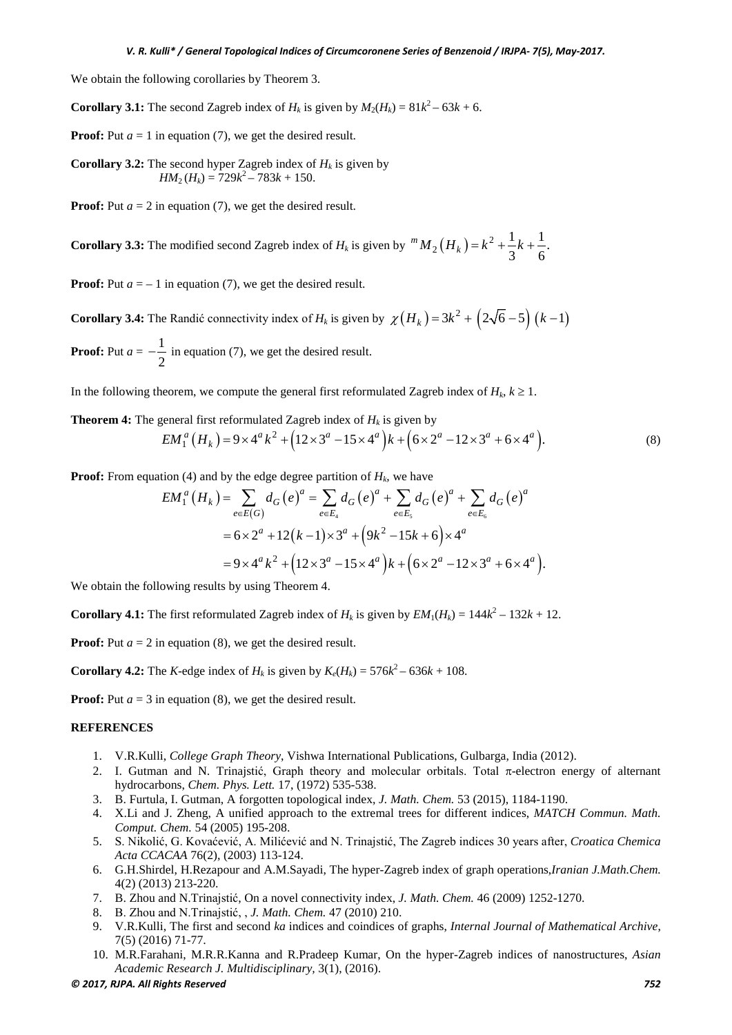We obtain the following corollaries by Theorem 3.

**Corollary 3.1:** The second Zagreb index of  $H_k$  is given by  $M_2(H_k) = 81k^2 - 63k + 6$ .

**Proof:** Put  $a = 1$  in equation (7), we get the desired result.

**Corollary 3.2:** The second hyper Zagreb index of  $H_k$  is given by  $HM_2(H_k) = 729k^2 - 783k + 150.$ 

**Proof:** Put  $a = 2$  in equation (7), we get the desired result.

**Corollary 3.3:** The modified second Zagreb index of  $H_k$  is given by  ${}^m M_2(H_k) = k^2 + \frac{1}{3}k + \frac{1}{6}$ .

**Proof:** Put  $a = -1$  in equation (7), we get the desired result.

**Corollary 3.4:** The Randić connectivity index of *H<sub>k</sub>* is given by  $\chi(H_k) = 3k^2 + (2\sqrt{6}-5)(k-1)$ **Proof:** Put  $a=-\frac{1}{2}$ 

2  $-\frac{1}{2}$  in equation (7), we get the desired result.

In the following theorem, we compute the general first reformulated Zagreb index of  $H_k$ ,  $k \geq 1$ .

**Theorem 4:** The general first reformulated Zagreb index of  $H_k$  is given by

$$
EM_1^a(H_k) = 9 \times 4^a k^2 + (12 \times 3^a - 15 \times 4^a) k + (6 \times 2^a - 12 \times 3^a + 6 \times 4^a).
$$
 (8)

**Proof:** From equation (4) and by the edge degree partition of  $H_k$ , we have

$$
EM_1^a(H_k) = \sum_{e \in E(G)} d_G(e)^a = \sum_{e \in E_4} d_G(e)^a + \sum_{e \in E_5} d_G(e)^a + \sum_{e \in E_6} d_G(e)^a
$$
  
= 6 × 2<sup>a</sup> + 12(k-1) × 3<sup>a</sup> + (9k<sup>2</sup> - 15k + 6) × 4<sup>a</sup>  
= 9 × 4<sup>a</sup> k<sup>2</sup> + (12 × 3<sup>a</sup> - 15 × 4<sup>a</sup>)k + (6 × 2<sup>a</sup> - 12 × 3<sup>a</sup> + 6 × 4<sup>a</sup>).

We obtain the following results by using Theorem 4.

**Corollary 4.1:** The first reformulated Zagreb index of  $H_k$  is given by  $EM_1(H_k) = 144k^2 - 132k + 12$ .

**Proof:** Put  $a = 2$  in equation (8), we get the desired result.

**Corollary 4.2:** The *K*-edge index of  $H_k$  is given by  $K_e(H_k) = 576k^2 - 636k + 108$ .

**Proof:** Put  $a = 3$  in equation (8), we get the desired result.

## **REFERENCES**

- 1. V.R.Kulli, *College Graph Theory*, Vishwa International Publications, Gulbarga, India (2012).
- 2. I. Gutman and N. Trinajstić, Graph theory and molecular orbitals. Total  $\pi$ -electron energy of alternant hydrocarbons, *Chem. Phys. Lett.* 17, (1972) 535-538.
- 3. B. Furtula, I. Gutman, A forgotten topological index, *J. Math. Chem.* 53 (2015), 1184-1190.
- 4. X.Li and J. Zheng, A unified approach to the extremal trees for different indices, *MATCH Commun. Math. Comput. Chem.* 54 (2005) 195-208.
- 5. S. Nikolić, G. Kovaćević, A. Milićević and N. Trinajstić, The Zagreb indices 30 years after, *Croatica Chemica Acta CCACAA* 76(2), (2003) 113-124.
- 6. G.H.Shirdel, H.Rezapour and A.M.Sayadi, The hyper-Zagreb index of graph operations,*Iranian J.Math.Chem.* 4(2) (2013) 213-220.
- 7. B. Zhou and N.Trinajstić, On a novel connectivity index, *J. Math. Chem.* 46 (2009) 1252-1270.
- 8. B. Zhou and N.Trinajstić, , *J. Math. Chem.* 47 (2010) 210.
- 9. V.R.Kulli, The first and second *ka* indices and coindices of graphs, *Internal Journal of Mathematical Archive*, 7(5) (2016) 71-77.
- 10. M.R.Farahani, M.R.R.Kanna and R.Pradeep Kumar, On the hyper-Zagreb indices of nanostructures, *Asian Academic Research J. Multidisciplinary,* 3(1), (2016).